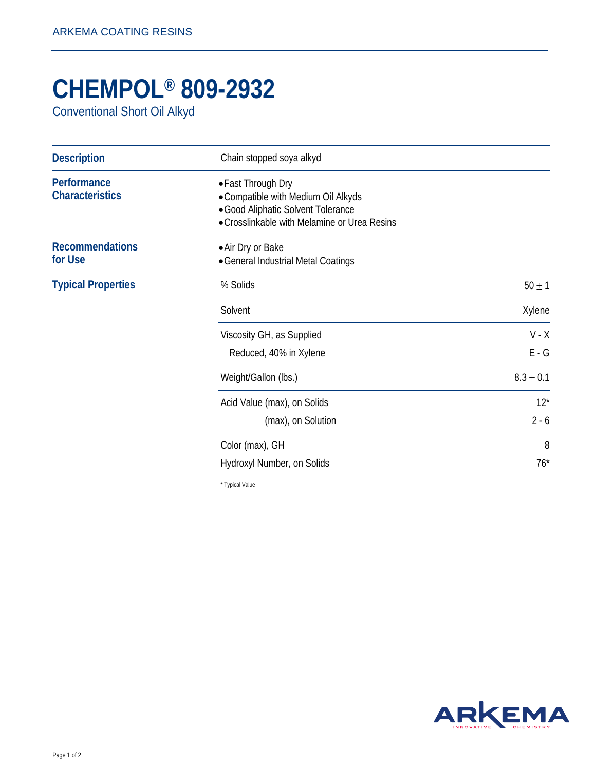## **CHEMPOL® 809-2932**

Conventional Short Oil Alkyd

| <b>Description</b>                    | Chain stopped soya alkyd                                                                                                                        |                    |
|---------------------------------------|-------------------------------------------------------------------------------------------------------------------------------------------------|--------------------|
| Performance<br><b>Characteristics</b> | • Fast Through Dry<br>• Compatible with Medium Oil Alkyds<br>· Good Aliphatic Solvent Tolerance<br>• Crosslinkable with Melamine or Urea Resins |                    |
| <b>Recommendations</b><br>for Use     | • Air Dry or Bake<br>• General Industrial Metal Coatings                                                                                        |                    |
| <b>Typical Properties</b>             | % Solids                                                                                                                                        | $50 \pm 1$         |
|                                       | Solvent                                                                                                                                         | Xylene             |
|                                       | Viscosity GH, as Supplied<br>Reduced, 40% in Xylene                                                                                             | $V - X$<br>$E - G$ |
|                                       | Weight/Gallon (lbs.)                                                                                                                            | $8.3 \pm 0.1$      |
|                                       | Acid Value (max), on Solids<br>(max), on Solution                                                                                               | $12*$<br>$2 - 6$   |
|                                       | Color (max), GH<br>Hydroxyl Number, on Solids                                                                                                   | 8<br>$76*$         |

\* Typical Value